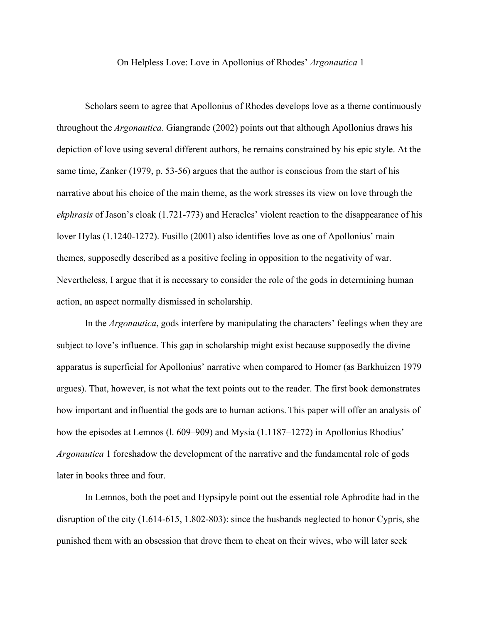## On Helpless Love: Love in Apollonius of Rhodes' *Argonautica* 1

Scholars seem to agree that Apollonius of Rhodes develops love as a theme continuously throughout the *Argonautica*. Giangrande (2002) points out that although Apollonius draws his depiction of love using several different authors, he remains constrained by his epic style. At the same time, Zanker (1979, p. 53-56) argues that the author is conscious from the start of his narrative about his choice of the main theme, as the work stresses its view on love through the *ekphrasis* of Jason's cloak (1.721-773) and Heracles' violent reaction to the disappearance of his lover Hylas (1.1240-1272). Fusillo (2001) also identifies love as one of Apollonius' main themes, supposedly described as a positive feeling in opposition to the negativity of war. Nevertheless, I argue that it is necessary to consider the role of the gods in determining human action, an aspect normally dismissed in scholarship.

In the *Argonautica*, gods interfere by manipulating the characters' feelings when they are subject to love's influence. This gap in scholarship might exist because supposedly the divine apparatus is superficial for Apollonius' narrative when compared to Homer (as Barkhuizen 1979 argues). That, however, is not what the text points out to the reader. The first book demonstrates how important and influential the gods are to human actions. This paper will offer an analysis of how the episodes at Lemnos (1. 609–909) and Mysia (1.1187–1272) in Apollonius Rhodius' *Argonautica* 1 foreshadow the development of the narrative and the fundamental role of gods later in books three and four.

In Lemnos, both the poet and Hypsipyle point out the essential role Aphrodite had in the disruption of the city (1.614-615, 1.802-803): since the husbands neglected to honor Cypris, she punished them with an obsession that drove them to cheat on their wives, who will later seek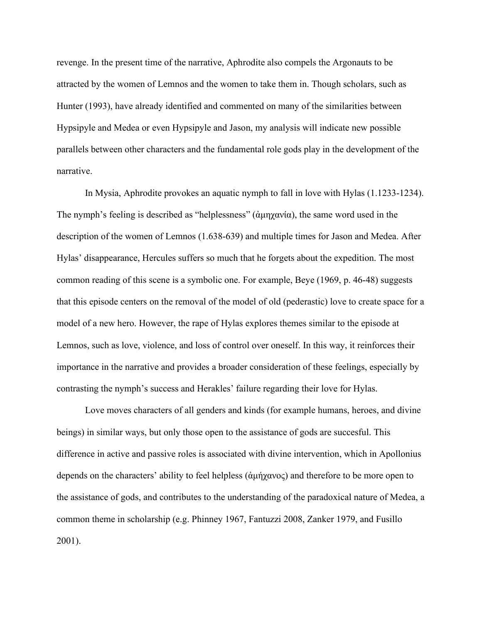revenge. In the present time of the narrative, Aphrodite also compels the Argonauts to be attracted by the women of Lemnos and the women to take them in. Though scholars, such as Hunter (1993), have already identified and commented on many of the similarities between Hypsipyle and Medea or even Hypsipyle and Jason, my analysis will indicate new possible parallels between other characters and the fundamental role gods play in the development of the narrative.

In Mysia, Aphrodite provokes an aquatic nymph to fall in love with Hylas (1.1233-1234). The nymph's feeling is described as "helplessness" ( $\alpha\mu\eta\gamma\alpha\nu\alpha$ ), the same word used in the description of the women of Lemnos (1.638-639) and multiple times for Jason and Medea. After Hylas' disappearance, Hercules suffers so much that he forgets about the expedition. The most common reading of this scene is a symbolic one. For example, Beye (1969, p. 46-48) suggests that this episode centers on the removal of the model of old (pederastic) love to create space for a model of a new hero. However, the rape of Hylas explores themes similar to the episode at Lemnos, such as love, violence, and loss of control over oneself. In this way, it reinforces their importance in the narrative and provides a broader consideration of these feelings, especially by contrasting the nymph's success and Herakles' failure regarding their love for Hylas.

Love moves characters of all genders and kinds (for example humans, heroes, and divine beings) in similar ways, but only those open to the assistance of gods are succesful. This difference in active and passive roles is associated with divine intervention, which in Apollonius depends on the characters' ability to feel helpless (ἀμήχανος) and therefore to be more open to the assistance of gods, and contributes to the understanding of the paradoxical nature of Medea, a common theme in scholarship (e.g. Phinney 1967, Fantuzzi 2008, Zanker 1979, and Fusillo 2001).